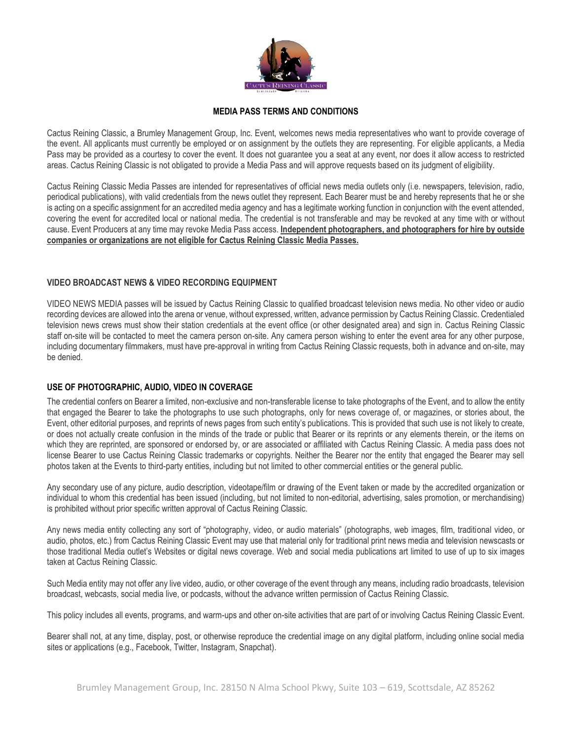

## **MEDIA PASS TERMS AND CONDITIONS**

Cactus Reining Classic, a Brumley Management Group, Inc. Event, welcomes news media representatives who want to provide coverage of the event. All applicants must currently be employed or on assignment by the outlets they are representing. For eligible applicants, a Media Pass may be provided as a courtesy to cover the event. It does not guarantee you a seat at any event, nor does it allow access to restricted areas. Cactus Reining Classic is not obligated to provide a Media Pass and will approve requests based on its judgment of eligibility.

Cactus Reining Classic Media Passes are intended for representatives of official news media outlets only (i.e. newspapers, television, radio, periodical publications), with valid credentials from the news outlet they represent. Each Bearer must be and hereby represents that he or she is acting on a specific assignment for an accredited media agency and has a legitimate working function in conjunction with the event attended, covering the event for accredited local or national media. The credential is not transferable and may be revoked at any time with or without cause. Event Producers at any time may revoke Media Pass access. **Independent photographers, and photographers for hire by outside companies or organizations are not eligible for Cactus Reining Classic Media Passes.**

## **VIDEO BROADCAST NEWS & VIDEO RECORDING EQUIPMENT**

VIDEO NEWS MEDIA passes will be issued by Cactus Reining Classic to qualified broadcast television news media. No other video or audio recording devices are allowed into the arena or venue, without expressed, written, advance permission by Cactus Reining Classic. Credentialed television news crews must show their station credentials at the event office (or other designated area) and sign in. Cactus Reining Classic staff on-site will be contacted to meet the camera person on-site. Any camera person wishing to enter the event area for any other purpose, including documentary filmmakers, must have pre-approval in writing from Cactus Reining Classic requests, both in advance and on-site, may be denied.

## **USE OF PHOTOGRAPHIC, AUDIO, VIDEO IN COVERAGE**

The credential confers on Bearer a limited, non-exclusive and non-transferable license to take photographs of the Event, and to allow the entity that engaged the Bearer to take the photographs to use such photographs, only for news coverage of, or magazines, or stories about, the Event, other editorial purposes, and reprints of news pages from such entity's publications. This is provided that such use is not likely to create, or does not actually create confusion in the minds of the trade or public that Bearer or its reprints or any elements therein, or the items on which they are reprinted, are sponsored or endorsed by, or are associated or affiliated with Cactus Reining Classic. A media pass does not license Bearer to use Cactus Reining Classic trademarks or copyrights. Neither the Bearer nor the entity that engaged the Bearer may sell photos taken at the Events to third-party entities, including but not limited to other commercial entities or the general public.

Any secondary use of any picture, audio description, videotape/film or drawing of the Event taken or made by the accredited organization or individual to whom this credential has been issued (including, but not limited to non-editorial, advertising, sales promotion, or merchandising) is prohibited without prior specific written approval of Cactus Reining Classic.

Any news media entity collecting any sort of "photography, video, or audio materials" (photographs, web images, film, traditional video, or audio, photos, etc.) from Cactus Reining Classic Event may use that material only for traditional print news media and television newscasts or those traditional Media outlet's Websites or digital news coverage. Web and social media publications art limited to use of up to six images taken at Cactus Reining Classic.

Such Media entity may not offer any live video, audio, or other coverage of the event through any means, including radio broadcasts, television broadcast, webcasts, social media live, or podcasts, without the advance written permission of Cactus Reining Classic.

This policy includes all events, programs, and warm-ups and other on-site activities that are part of or involving Cactus Reining Classic Event.

Bearer shall not, at any time, display, post, or otherwise reproduce the credential image on any digital platform, including online social media sites or applications (e.g., Facebook, Twitter, Instagram, Snapchat).